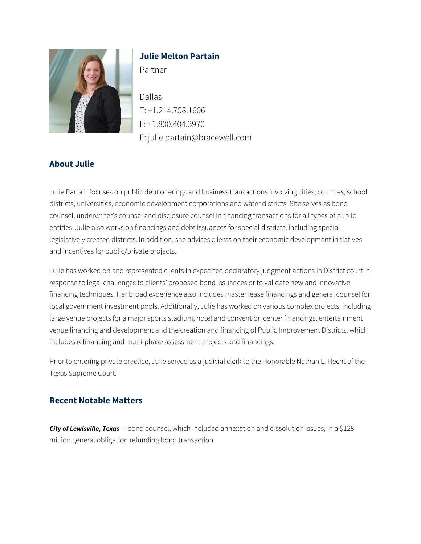

## **Julie Melton Partain**

Partner

Dallas T: +1.214.758.1606 F: +1.800.404.3970 E: julie.partain@bracewell.com

## **About Julie**

Julie Partain focuses on public debt offerings and business transactions involving cities, counties, school districts, universities, economic development corporations and water districts. She serves as bond counsel, underwriter's counsel and disclosure counsel in financing transactions for all types of public entities. Julie also works on financings and debt issuances for special districts, including special legislatively created districts. In addition, she advises clients on their economic development initiatives and incentives for public/private projects.

Julie has worked on and represented clients in expedited declaratory judgment actions in District court in response to legal challenges to clients' proposed bond issuances or to validate new and innovative financing techniques. Her broad experience also includes master lease financings and general counsel for local government investment pools. Additionally, Julie has worked on various complex projects, including large venue projects for a major sports stadium, hotel and convention center financings, entertainment venue financing and development and the creation and financing of Public Improvement Districts, which includes refinancing and multi-phase assessment projects and financings.

Prior to entering private practice, Julie served as a judicial clerk to the Honorable Nathan L. Hecht of the Texas Supreme Court.

### **Recent Notable Matters**

*City of Lewisville, Texas —* bond counsel, which included annexation and dissolution issues, in a \$128 million general obligation refunding bond transaction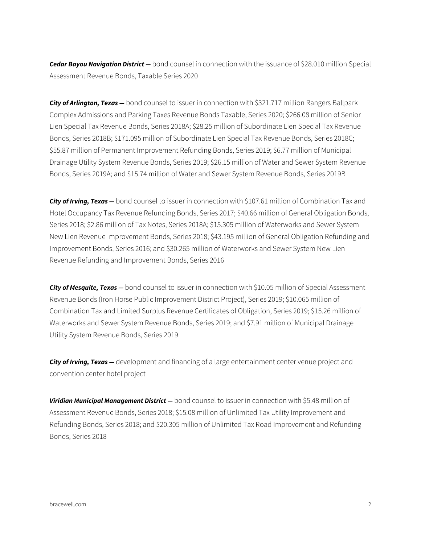*Cedar Bayou Navigation District —* bond counsel in connection with the issuance of \$28.010 million Special Assessment Revenue Bonds, Taxable Series 2020

*City of Arlington, Texas —* bond counsel to issuer in connection with \$321.717 million Rangers Ballpark Complex Admissions and Parking Taxes Revenue Bonds Taxable, Series 2020; \$266.08 million of Senior Lien Special Tax Revenue Bonds, Series 2018A; \$28.25 million of Subordinate Lien Special Tax Revenue Bonds, Series 2018B; \$171.095 million of Subordinate Lien Special Tax Revenue Bonds, Series 2018C; \$55.87 million of Permanent Improvement Refunding Bonds, Series 2019; \$6.77 million of Municipal Drainage Utility System Revenue Bonds, Series 2019; \$26.15 million of Water and Sewer System Revenue Bonds, Series 2019A; and \$15.74 million of Water and Sewer System Revenue Bonds, Series 2019B

*City of Irving, Texas —* bond counsel to issuer in connection with \$107.61 million of Combination Tax and Hotel Occupancy Tax Revenue Refunding Bonds, Series 2017; \$40.66 million of General Obligation Bonds, Series 2018; \$2.86 million of Tax Notes, Series 2018A; \$15.305 million of Waterworks and Sewer System New Lien Revenue Improvement Bonds, Series 2018; \$43.195 million of General Obligation Refunding and Improvement Bonds, Series 2016; and \$30.265 million of Waterworks and Sewer System New Lien Revenue Refunding and Improvement Bonds, Series 2016

*City of Mesquite, Texas —* bond counsel to issuer in connection with \$10.05 million of Special Assessment Revenue Bonds (Iron Horse Public Improvement District Project), Series 2019; \$10.065 million of Combination Tax and Limited Surplus Revenue Certificates of Obligation, Series 2019; \$15.26 million of Waterworks and Sewer System Revenue Bonds, Series 2019; and \$7.91 million of Municipal Drainage Utility System Revenue Bonds, Series 2019

*City of Irving, Texas —* development and financing of a large entertainment center venue project and convention center hotel project

*Viridian Municipal Management District —* bond counsel to issuer in connection with \$5.48 million of Assessment Revenue Bonds, Series 2018; \$15.08 million of Unlimited Tax Utility Improvement and Refunding Bonds, Series 2018; and \$20.305 million of Unlimited Tax Road Improvement and Refunding Bonds, Series 2018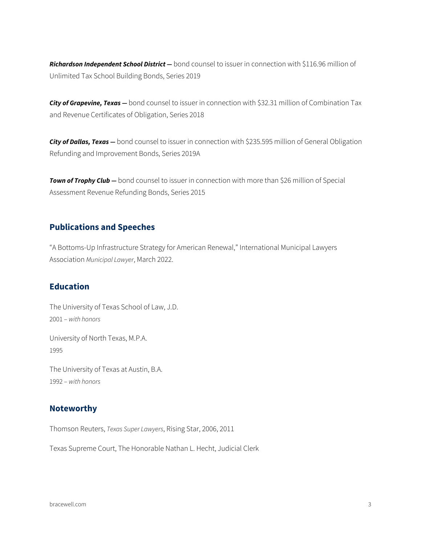*Richardson Independent School District —* bond counsel to issuer in connection with \$116.96 million of Unlimited Tax School Building Bonds, Series 2019

*City of Grapevine, Texas —* bond counsel to issuer in connection with \$32.31 million of Combination Tax and Revenue Certificates of Obligation, Series 2018

*City of Dallas, Texas —* bond counsel to issuer in connection with \$235.595 million of General Obligation Refunding and Improvement Bonds, Series 2019A

*Town of Trophy Club —* bond counsel to issuer in connection with more than \$26 million of Special Assessment Revenue Refunding Bonds, Series 2015

#### **Publications and Speeches**

"A Bottoms-Up Infrastructure Strategy for American Renewal," International Municipal Lawyers Association *Municipal Lawyer*, March 2022.

#### **Education**

The University of Texas School of Law, J.D. 2001 – *with honors* University of North Texas, M.P.A. 1995

The University of Texas at Austin, B.A. 1992 – *with honors*

### **Noteworthy**

Thomson Reuters, *Texas Super Lawyers*, Rising Star, 2006, 2011

Texas Supreme Court, The Honorable Nathan L. Hecht, Judicial Clerk